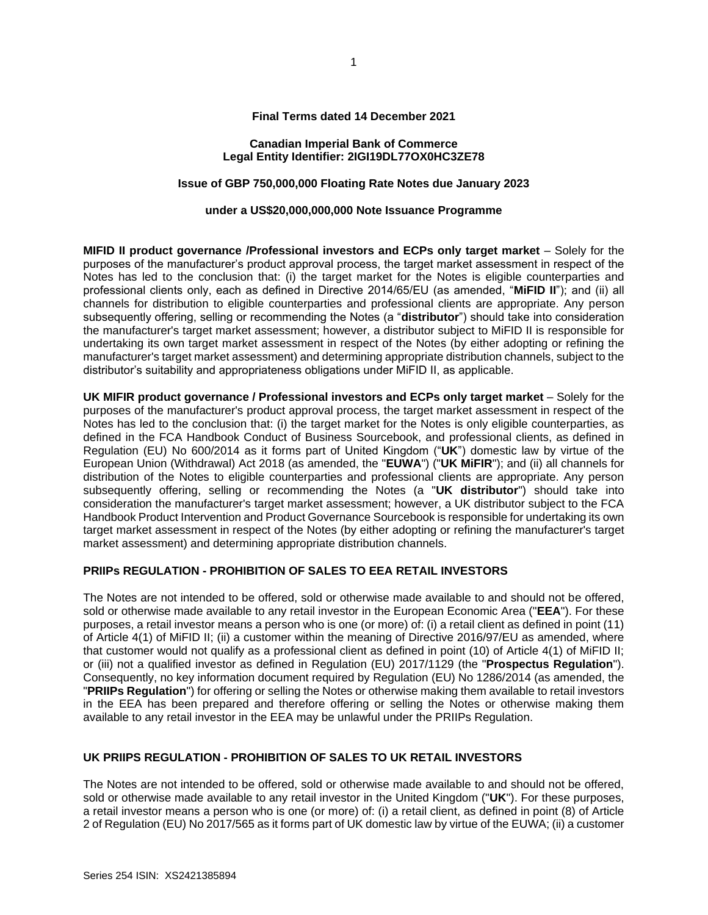#### **Final Terms dated 14 December 2021**

#### **Canadian Imperial Bank of Commerce Legal Entity Identifier: 2IGI19DL77OX0HC3ZE78**

# **Issue of GBP 750,000,000 Floating Rate Notes due January 2023**

#### **under a US\$20,000,000,000 Note Issuance Programme**

**MIFID II product governance /Professional investors and ECPs only target market** – Solely for the purposes of the manufacturer's product approval process, the target market assessment in respect of the Notes has led to the conclusion that: (i) the target market for the Notes is eligible counterparties and professional clients only, each as defined in Directive 2014/65/EU (as amended, "**MiFID II**"); and (ii) all channels for distribution to eligible counterparties and professional clients are appropriate. Any person subsequently offering, selling or recommending the Notes (a "**distributor**") should take into consideration the manufacturer's target market assessment; however, a distributor subject to MiFID II is responsible for undertaking its own target market assessment in respect of the Notes (by either adopting or refining the manufacturer's target market assessment) and determining appropriate distribution channels, subject to the distributor's suitability and appropriateness obligations under MiFID II, as applicable.

**UK MIFIR product governance / Professional investors and ECPs only target market** – Solely for the purposes of the manufacturer's product approval process, the target market assessment in respect of the Notes has led to the conclusion that: (i) the target market for the Notes is only eligible counterparties, as defined in the FCA Handbook Conduct of Business Sourcebook, and professional clients, as defined in Regulation (EU) No 600/2014 as it forms part of United Kingdom ("**UK**") domestic law by virtue of the European Union (Withdrawal) Act 2018 (as amended, the "**EUWA**") ("**UK MiFIR**"); and (ii) all channels for distribution of the Notes to eligible counterparties and professional clients are appropriate. Any person subsequently offering, selling or recommending the Notes (a "**UK distributor**") should take into consideration the manufacturer's target market assessment; however, a UK distributor subject to the FCA Handbook Product Intervention and Product Governance Sourcebook is responsible for undertaking its own target market assessment in respect of the Notes (by either adopting or refining the manufacturer's target market assessment) and determining appropriate distribution channels.

## **PRIIPs REGULATION - PROHIBITION OF SALES TO EEA RETAIL INVESTORS**

The Notes are not intended to be offered, sold or otherwise made available to and should not be offered, sold or otherwise made available to any retail investor in the European Economic Area ("**EEA**"). For these purposes, a retail investor means a person who is one (or more) of: (i) a retail client as defined in point (11) of Article 4(1) of MiFID II; (ii) a customer within the meaning of Directive 2016/97/EU as amended, where that customer would not qualify as a professional client as defined in point (10) of Article 4(1) of MiFID II; or (iii) not a qualified investor as defined in Regulation (EU) 2017/1129 (the "**Prospectus Regulation**"). Consequently, no key information document required by Regulation (EU) No 1286/2014 (as amended, the "**PRIIPs Regulation**") for offering or selling the Notes or otherwise making them available to retail investors in the EEA has been prepared and therefore offering or selling the Notes or otherwise making them available to any retail investor in the EEA may be unlawful under the PRIIPs Regulation.

# **UK PRIIPS REGULATION - PROHIBITION OF SALES TO UK RETAIL INVESTORS**

The Notes are not intended to be offered, sold or otherwise made available to and should not be offered, sold or otherwise made available to any retail investor in the United Kingdom ("**UK**"). For these purposes, a retail investor means a person who is one (or more) of: (i) a retail client, as defined in point (8) of Article 2 of Regulation (EU) No 2017/565 as it forms part of UK domestic law by virtue of the EUWA; (ii) a customer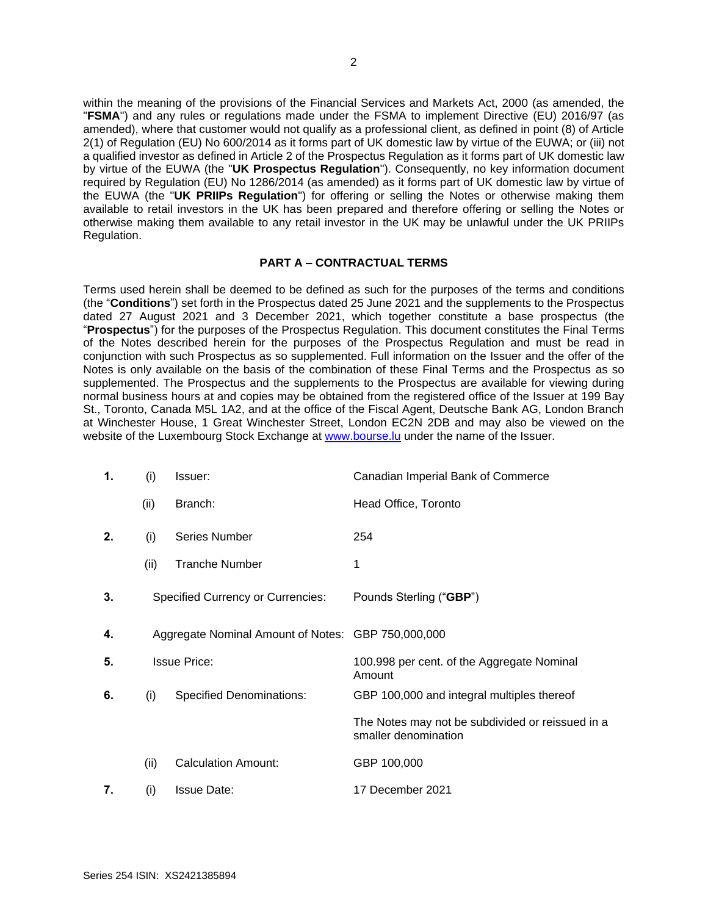within the meaning of the provisions of the Financial Services and Markets Act, 2000 (as amended, the "**FSMA**") and any rules or regulations made under the FSMA to implement Directive (EU) 2016/97 (as amended), where that customer would not qualify as a professional client, as defined in point (8) of Article 2(1) of Regulation (EU) No 600/2014 as it forms part of UK domestic law by virtue of the EUWA; or (iii) not a qualified investor as defined in Article 2 of the Prospectus Regulation as it forms part of UK domestic law by virtue of the EUWA (the "**UK Prospectus Regulation**"). Consequently, no key information document required by Regulation (EU) No 1286/2014 (as amended) as it forms part of UK domestic law by virtue of the EUWA (the "**UK PRIIPs Regulation**") for offering or selling the Notes or otherwise making them available to retail investors in the UK has been prepared and therefore offering or selling the Notes or otherwise making them available to any retail investor in the UK may be unlawful under the UK PRIIPs Regulation.

## **PART A – CONTRACTUAL TERMS**

Terms used herein shall be deemed to be defined as such for the purposes of the terms and conditions (the "**Conditions**") set forth in the Prospectus dated 25 June 2021 and the supplements to the Prospectus dated 27 August 2021 and 3 December 2021, which together constitute a base prospectus (the "**Prospectus**") for the purposes of the Prospectus Regulation. This document constitutes the Final Terms of the Notes described herein for the purposes of the Prospectus Regulation and must be read in conjunction with such Prospectus as so supplemented. Full information on the Issuer and the offer of the Notes is only available on the basis of the combination of these Final Terms and the Prospectus as so supplemented. The Prospectus and the supplements to the Prospectus are available for viewing during normal business hours at and copies may be obtained from the registered office of the Issuer at 199 Bay St., Toronto, Canada M5L 1A2, and at the office of the Fiscal Agent, Deutsche Bank AG, London Branch at Winchester House, 1 Great Winchester Street, London EC2N 2DB and may also be viewed on the website of the Luxembourg Stock Exchange at [www.bourse.lu](http://www.bourse.lu/) under the name of the Issuer.

| 1. | (i)  | Issuer:                                            | Canadian Imperial Bank of Commerce                                       |
|----|------|----------------------------------------------------|--------------------------------------------------------------------------|
|    | (ii) | Branch:                                            | Head Office, Toronto                                                     |
| 2. | (i)  | <b>Series Number</b>                               | 254                                                                      |
|    | (ii) | <b>Tranche Number</b>                              | 1                                                                        |
| 3. |      | <b>Specified Currency or Currencies:</b>           | Pounds Sterling ("GBP")                                                  |
| 4. |      | Aggregate Nominal Amount of Notes: GBP 750,000,000 |                                                                          |
| 5. |      | <b>Issue Price:</b>                                | 100.998 per cent. of the Aggregate Nominal<br>Amount                     |
| 6. | (i)  | <b>Specified Denominations:</b>                    | GBP 100,000 and integral multiples thereof                               |
|    |      |                                                    | The Notes may not be subdivided or reissued in a<br>smaller denomination |
|    | (ii) | <b>Calculation Amount:</b>                         | GBP 100,000                                                              |
| 7. | (i)  | <b>Issue Date:</b>                                 | 17 December 2021                                                         |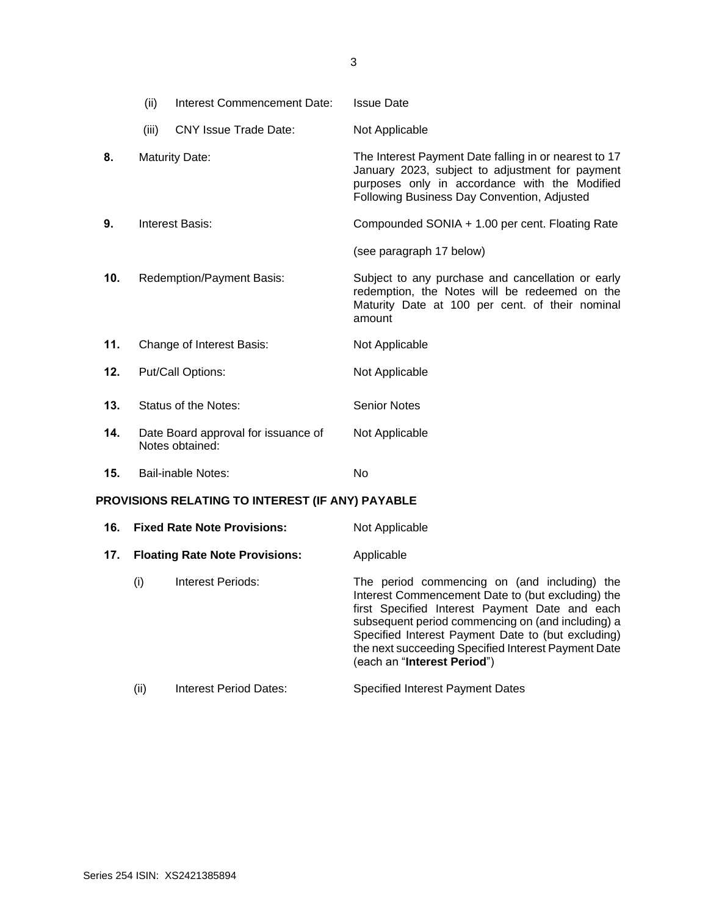|                                                  | (ii)  | Interest Commencement Date:                            | <b>Issue Date</b>                                                                                                                                                                                        |
|--------------------------------------------------|-------|--------------------------------------------------------|----------------------------------------------------------------------------------------------------------------------------------------------------------------------------------------------------------|
|                                                  | (iii) | <b>CNY Issue Trade Date:</b>                           | Not Applicable                                                                                                                                                                                           |
| 8.                                               |       | <b>Maturity Date:</b>                                  | The Interest Payment Date falling in or nearest to 17<br>January 2023, subject to adjustment for payment<br>purposes only in accordance with the Modified<br>Following Business Day Convention, Adjusted |
| 9.                                               |       | <b>Interest Basis:</b>                                 | Compounded SONIA + 1.00 per cent. Floating Rate                                                                                                                                                          |
|                                                  |       |                                                        | (see paragraph 17 below)                                                                                                                                                                                 |
| 10.                                              |       | Redemption/Payment Basis:                              | Subject to any purchase and cancellation or early<br>redemption, the Notes will be redeemed on the<br>Maturity Date at 100 per cent. of their nominal<br>amount                                          |
| 11.                                              |       | Change of Interest Basis:                              | Not Applicable                                                                                                                                                                                           |
| 12.                                              |       | Put/Call Options:                                      | Not Applicable                                                                                                                                                                                           |
| 13.                                              |       | Status of the Notes:                                   | <b>Senior Notes</b>                                                                                                                                                                                      |
| 14.                                              |       | Date Board approval for issuance of<br>Notes obtained: | Not Applicable                                                                                                                                                                                           |
| 15.                                              |       | Bail-inable Notes:                                     | No                                                                                                                                                                                                       |
| PROVISIONS RELATING TO INTEREST (IF ANY) PAYABLE |       |                                                        |                                                                                                                                                                                                          |
| 16.                                              |       | Fixed Rate Note Provisions:                            | Not Annlicable                                                                                                                                                                                           |

|     |      | 16. Fixed Rate Note Provisions:       | Not Applicable                                                                                                                                                                                                                                                                                                                                                |
|-----|------|---------------------------------------|---------------------------------------------------------------------------------------------------------------------------------------------------------------------------------------------------------------------------------------------------------------------------------------------------------------------------------------------------------------|
| 17. |      | <b>Floating Rate Note Provisions:</b> | Applicable                                                                                                                                                                                                                                                                                                                                                    |
|     | (i)  | Interest Periods:                     | The period commencing on (and including) the<br>Interest Commencement Date to (but excluding) the<br>first Specified Interest Payment Date and each<br>subsequent period commencing on (and including) a<br>Specified Interest Payment Date to (but excluding)<br>the next succeeding Specified Interest Payment Date<br>(each an " <b>Interest Period</b> ") |
|     | (ii) | Interest Period Dates:                | <b>Specified Interest Payment Dates</b>                                                                                                                                                                                                                                                                                                                       |

3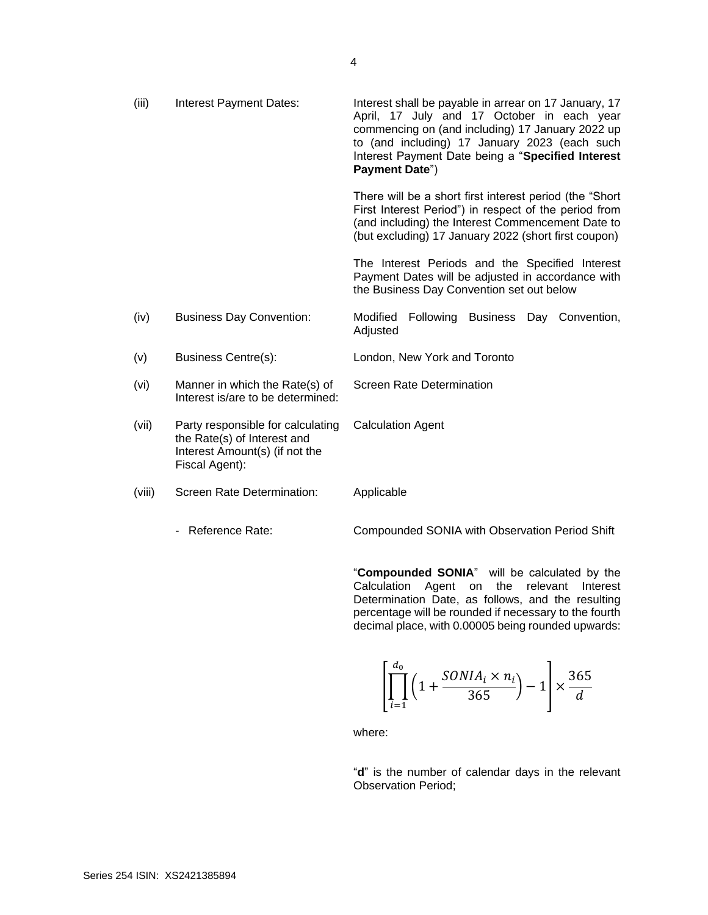| (iii)  | Interest Payment Dates:                                                                                              | Interest shall be payable in arrear on 17 January, 17<br>April, 17 July and 17 October in each year<br>commencing on (and including) 17 January 2022 up<br>to (and including) 17 January 2023 (each such<br>Interest Payment Date being a "Specified Interest<br>Payment Date") |
|--------|----------------------------------------------------------------------------------------------------------------------|---------------------------------------------------------------------------------------------------------------------------------------------------------------------------------------------------------------------------------------------------------------------------------|
|        |                                                                                                                      | There will be a short first interest period (the "Short"<br>First Interest Period") in respect of the period from<br>(and including) the Interest Commencement Date to<br>(but excluding) 17 January 2022 (short first coupon)                                                  |
|        |                                                                                                                      | The Interest Periods and the Specified Interest<br>Payment Dates will be adjusted in accordance with<br>the Business Day Convention set out below                                                                                                                               |
| (iv)   | <b>Business Day Convention:</b>                                                                                      | Modified<br>Following Business<br>Day Convention,<br>Adjusted                                                                                                                                                                                                                   |
| (v)    | Business Centre(s):                                                                                                  | London, New York and Toronto                                                                                                                                                                                                                                                    |
| (vi)   | Manner in which the Rate(s) of<br>Interest is/are to be determined:                                                  | <b>Screen Rate Determination</b>                                                                                                                                                                                                                                                |
| (vii)  | Party responsible for calculating<br>the Rate(s) of Interest and<br>Interest Amount(s) (if not the<br>Fiscal Agent): | <b>Calculation Agent</b>                                                                                                                                                                                                                                                        |
| (viii) | Screen Rate Determination:                                                                                           | Applicable                                                                                                                                                                                                                                                                      |
|        | - Reference Rate:                                                                                                    | Compounded SONIA with Observation Period Shift                                                                                                                                                                                                                                  |

"**Compounded SONIA**" will be calculated by the Calculation Agent on the relevant Interest Determination Date, as follows, and the resulting percentage will be rounded if necessary to the fourth decimal place, with 0.00005 being rounded upwards:

$$
\left[\prod_{i=1}^{d_0} \left(1 + \frac{SONIA_i \times n_i}{365}\right) - 1\right] \times \frac{365}{d}
$$

where:

"**d**" is the number of calendar days in the relevant Observation Period;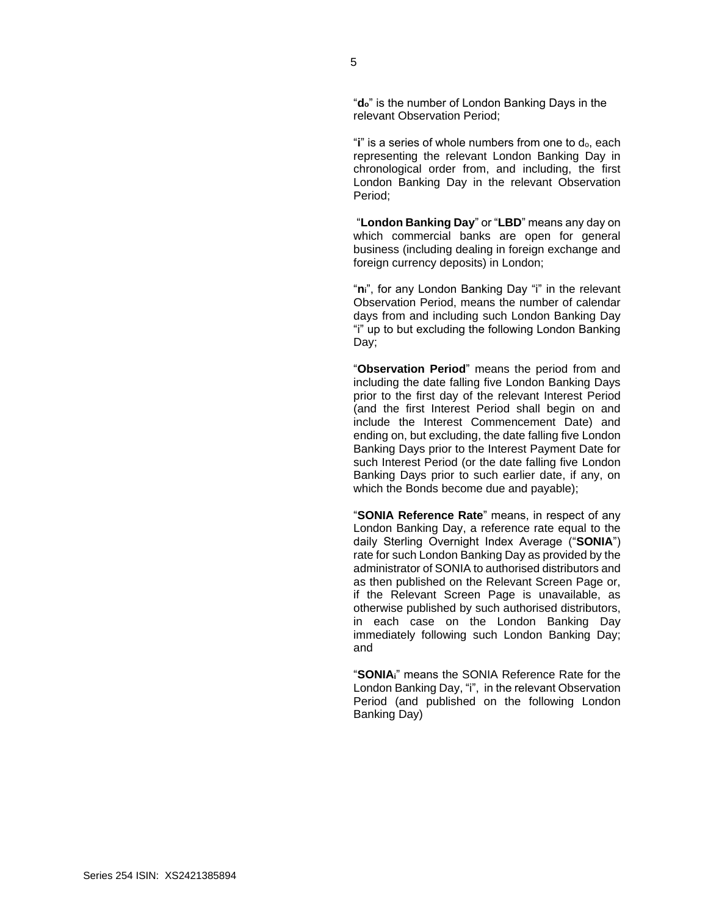"**do**" is the number of London Banking Days in the relevant Observation Period;

"**i**" is a series of whole numbers from one to do, each representing the relevant London Banking Day in chronological order from, and including, the first London Banking Day in the relevant Observation Period;

"**London Banking Day**" or "**LBD**" means any day on which commercial banks are open for general business (including dealing in foreign exchange and foreign currency deposits) in London;

"**ni**", for any London Banking Day "i" in the relevant Observation Period, means the number of calendar days from and including such London Banking Day "i" up to but excluding the following London Banking Day;

"**Observation Period**" means the period from and including the date falling five London Banking Days prior to the first day of the relevant Interest Period (and the first Interest Period shall begin on and include the Interest Commencement Date) and ending on, but excluding, the date falling five London Banking Days prior to the Interest Payment Date for such Interest Period (or the date falling five London Banking Days prior to such earlier date, if any, on which the Bonds become due and payable);

"**SONIA Reference Rate**" means, in respect of any London Banking Day, a reference rate equal to the daily Sterling Overnight Index Average ("**SONIA**") rate for such London Banking Day as provided by the administrator of SONIA to authorised distributors and as then published on the Relevant Screen Page or, if the Relevant Screen Page is unavailable, as otherwise published by such authorised distributors, in each case on the London Banking Day immediately following such London Banking Day; and

"**SONIAi**" means the SONIA Reference Rate for the London Banking Day, "i", in the relevant Observation Period (and published on the following London Banking Day)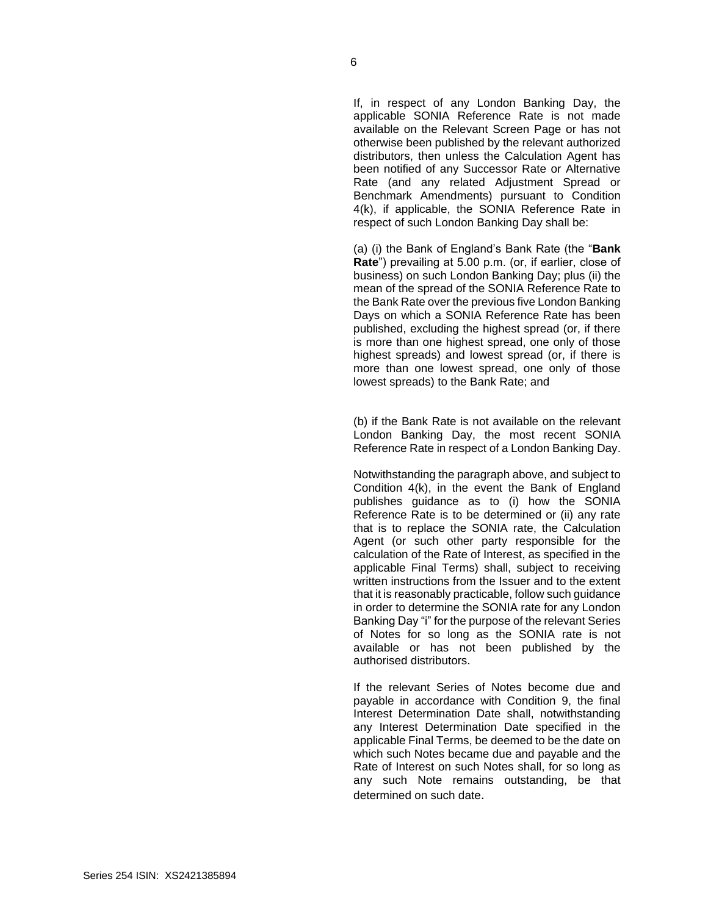If, in respect of any London Banking Day, the applicable SONIA Reference Rate is not made available on the Relevant Screen Page or has not otherwise been published by the relevant authorized distributors, then unless the Calculation Agent has been notified of any Successor Rate or Alternative Rate (and any related Adjustment Spread or Benchmark Amendments) pursuant to Condition 4(k), if applicable, the SONIA Reference Rate in respect of such London Banking Day shall be:

(a) (i) the Bank of England's Bank Rate (the "**Bank Rate**") prevailing at 5.00 p.m. (or, if earlier, close of business) on such London Banking Day; plus (ii) the mean of the spread of the SONIA Reference Rate to the Bank Rate over the previous five London Banking Days on which a SONIA Reference Rate has been published, excluding the highest spread (or, if there is more than one highest spread, one only of those highest spreads) and lowest spread (or, if there is more than one lowest spread, one only of those lowest spreads) to the Bank Rate; and

(b) if the Bank Rate is not available on the relevant London Banking Day, the most recent SONIA Reference Rate in respect of a London Banking Day.

Notwithstanding the paragraph above, and subject to Condition 4(k), in the event the Bank of England publishes guidance as to (i) how the SONIA Reference Rate is to be determined or (ii) any rate that is to replace the SONIA rate, the Calculation Agent (or such other party responsible for the calculation of the Rate of Interest, as specified in the applicable Final Terms) shall, subject to receiving written instructions from the Issuer and to the extent that it is reasonably practicable, follow such guidance in order to determine the SONIA rate for any London Banking Day "i" for the purpose of the relevant Series of Notes for so long as the SONIA rate is not available or has not been published by the authorised distributors.

If the relevant Series of Notes become due and payable in accordance with Condition 9, the final Interest Determination Date shall, notwithstanding any Interest Determination Date specified in the applicable Final Terms, be deemed to be the date on which such Notes became due and payable and the Rate of Interest on such Notes shall, for so long as any such Note remains outstanding, be that determined on such date.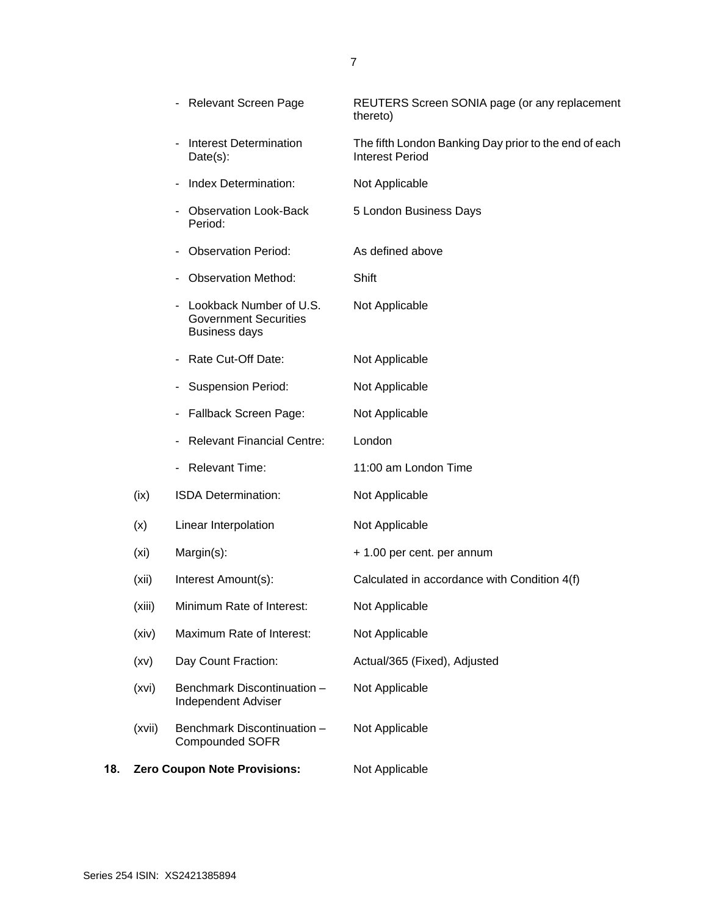|     |                   | <b>Relevant Screen Page</b>                                                     | REUTERS Screen SONIA page (or any replacement<br>thereto)                       |
|-----|-------------------|---------------------------------------------------------------------------------|---------------------------------------------------------------------------------|
|     |                   | <b>Interest Determination</b><br>Date(s):                                       | The fifth London Banking Day prior to the end of each<br><b>Interest Period</b> |
|     |                   | Index Determination:                                                            | Not Applicable                                                                  |
|     |                   | <b>Observation Look-Back</b><br>Period:                                         | 5 London Business Days                                                          |
|     |                   | <b>Observation Period:</b>                                                      | As defined above                                                                |
|     |                   | <b>Observation Method:</b>                                                      | Shift                                                                           |
|     |                   | Lookback Number of U.S.<br><b>Government Securities</b><br><b>Business days</b> | Not Applicable                                                                  |
|     |                   | Rate Cut-Off Date:                                                              | Not Applicable                                                                  |
|     |                   | <b>Suspension Period:</b>                                                       | Not Applicable                                                                  |
|     |                   | Fallback Screen Page:                                                           | Not Applicable                                                                  |
|     |                   | <b>Relevant Financial Centre:</b>                                               | London                                                                          |
|     |                   | - Relevant Time:                                                                | 11:00 am London Time                                                            |
|     | (ix)              | ISDA Determination:                                                             | Not Applicable                                                                  |
|     | (x)               | Linear Interpolation                                                            | Not Applicable                                                                  |
|     | (x <sub>i</sub> ) | Margin(s):                                                                      | + 1.00 per cent. per annum                                                      |
|     | (xii)             | Interest Amount(s):                                                             | Calculated in accordance with Condition 4(f)                                    |
|     | (xiii)            | Minimum Rate of Interest:                                                       | Not Applicable                                                                  |
|     | (xiv)             | Maximum Rate of Interest:                                                       | Not Applicable                                                                  |
|     | (xv)              | Day Count Fraction:                                                             | Actual/365 (Fixed), Adjusted                                                    |
|     | (xvi)             | Benchmark Discontinuation -<br><b>Independent Adviser</b>                       | Not Applicable                                                                  |
|     | (xvii)            | Benchmark Discontinuation -<br><b>Compounded SOFR</b>                           | Not Applicable                                                                  |
| 18. |                   | <b>Zero Coupon Note Provisions:</b>                                             | Not Applicable                                                                  |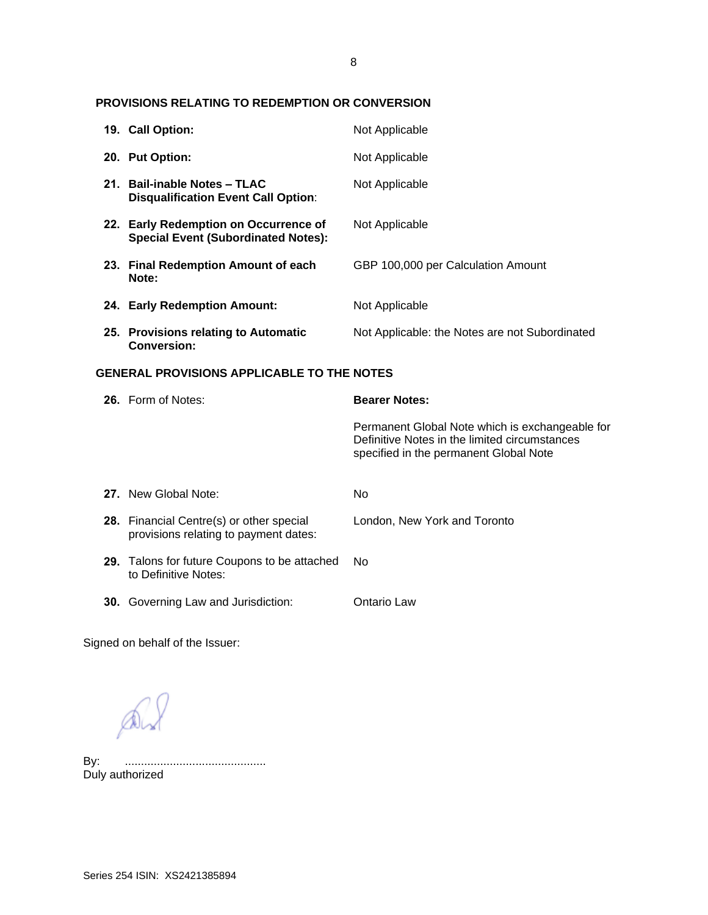# 8

# **PROVISIONS RELATING TO REDEMPTION OR CONVERSION**

|                                                   | 19. Call Option:                                                                    | Not Applicable                                                                                                                             |  |
|---------------------------------------------------|-------------------------------------------------------------------------------------|--------------------------------------------------------------------------------------------------------------------------------------------|--|
|                                                   | 20. Put Option:                                                                     | Not Applicable                                                                                                                             |  |
|                                                   | 21. Bail-inable Notes - TLAC<br><b>Disqualification Event Call Option:</b>          | Not Applicable                                                                                                                             |  |
|                                                   | 22. Early Redemption on Occurrence of<br><b>Special Event (Subordinated Notes):</b> | Not Applicable                                                                                                                             |  |
|                                                   | 23. Final Redemption Amount of each<br>Note:                                        | GBP 100,000 per Calculation Amount                                                                                                         |  |
|                                                   | 24. Early Redemption Amount:                                                        | Not Applicable                                                                                                                             |  |
|                                                   | 25. Provisions relating to Automatic<br><b>Conversion:</b>                          | Not Applicable: the Notes are not Subordinated                                                                                             |  |
| <b>GENERAL PROVISIONS APPLICABLE TO THE NOTES</b> |                                                                                     |                                                                                                                                            |  |
|                                                   |                                                                                     |                                                                                                                                            |  |
|                                                   | 26. Form of Notes:                                                                  | <b>Bearer Notes:</b>                                                                                                                       |  |
|                                                   |                                                                                     | Permanent Global Note which is exchangeable for<br>Definitive Notes in the limited circumstances<br>specified in the permanent Global Note |  |
|                                                   | 27. New Global Note:                                                                | No                                                                                                                                         |  |
|                                                   | 28. Financial Centre(s) or other special<br>provisions relating to payment dates:   | London, New York and Toronto                                                                                                               |  |
|                                                   | 29. Talons for future Coupons to be attached<br>to Definitive Notes:                | <b>No</b>                                                                                                                                  |  |

Signed on behalf of the Issuer:

 $Q_{\lambda}$ 

By: ............................................ By: .............<br>Duly authorized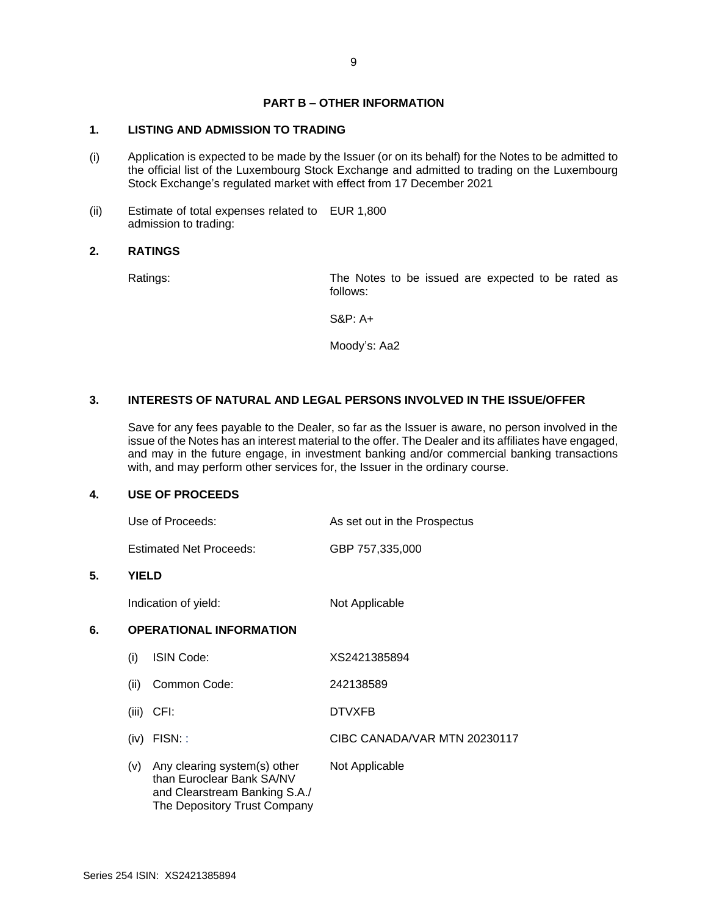# **PART B – OTHER INFORMATION**

# **1. LISTING AND ADMISSION TO TRADING**

- (i) Application is expected to be made by the Issuer (or on its behalf) for the Notes to be admitted to the official list of the Luxembourg Stock Exchange and admitted to trading on the Luxembourg Stock Exchange's regulated market with effect from 17 December 2021
- (ii) Estimate of total expenses related to EUR 1,800 admission to trading:

#### **2. RATINGS**

Ratings: The Notes to be issued are expected to be rated as follows:

S&P: A+

Moody's: Aa2

## **3. INTERESTS OF NATURAL AND LEGAL PERSONS INVOLVED IN THE ISSUE/OFFER**

Save for any fees payable to the Dealer, so far as the Issuer is aware, no person involved in the issue of the Notes has an interest material to the offer. The Dealer and its affiliates have engaged, and may in the future engage, in investment banking and/or commercial banking transactions with, and may perform other services for, the Issuer in the ordinary course.

#### **4. USE OF PROCEEDS**

| Use of Proceeds:               | As set out in the Prospectus |
|--------------------------------|------------------------------|
| <b>Estimated Net Proceeds:</b> | GBP 757,335,000              |

#### **5. YIELD**

Indication of yield: Not Applicable

# **6. OPERATIONAL INFORMATION**

| (۱)   | ISIN Code:                                                                                                                 | XS2421385894                 |
|-------|----------------------------------------------------------------------------------------------------------------------------|------------------------------|
| (ii)  | Common Code:                                                                                                               | 242138589                    |
| (iii) | CFI:                                                                                                                       | <b>DTVXFB</b>                |
| (iv)  | $FISN:$ :                                                                                                                  | CIBC CANADA/VAR MTN 20230117 |
| (v)   | Any clearing system(s) other<br>than Euroclear Bank SA/NV<br>and Clearstream Banking S.A./<br>The Depository Trust Company | Not Applicable               |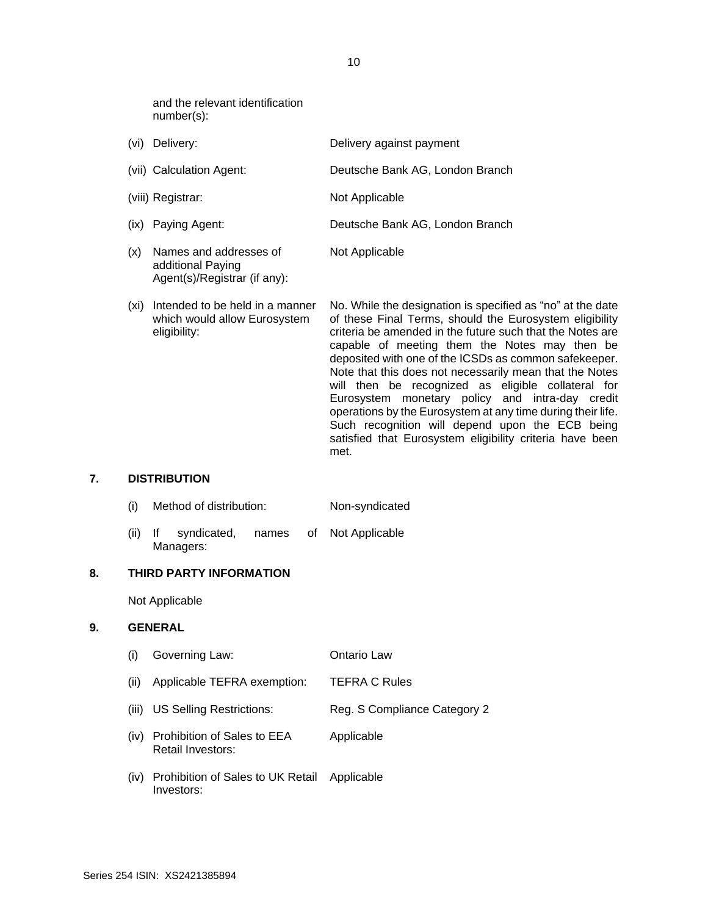and the relevant identification number(s):

Agent(s)/Registrar (if any):

| (vi) | Delivery:                                   | Delivery against payment        |
|------|---------------------------------------------|---------------------------------|
|      | (vii) Calculation Agent:                    | Deutsche Bank AG, London Branch |
|      | (viii) Registrar:                           | Not Applicable                  |
|      | (ix) Paying Agent:                          | Deutsche Bank AG, London Branch |
| (x)  | Names and addresses of<br>additional Paying | Not Applicable                  |

(xi) Intended to be held in a manner which would allow Eurosystem eligibility: No. While the designation is specified as "no" at the date of these Final Terms, should the Eurosystem eligibility criteria be amended in the future such that the Notes are capable of meeting them the Notes may then be deposited with one of the ICSDs as common safekeeper. Note that this does not necessarily mean that the Notes will then be recognized as eligible collateral for Eurosystem monetary policy and intra-day credit operations by the Eurosystem at any time during their life. Such recognition will depend upon the ECB being satisfied that Eurosystem eligibility criteria have been met.

#### **7. DISTRIBUTION**

- (i) Method of distribution: Non-syndicated
- (ii) If syndicated, names of Managers: Not Applicable

#### **8. THIRD PARTY INFORMATION**

Not Applicable

#### **9. GENERAL**

- (i) Governing Law: Ontario Law (ii) Applicable TEFRA exemption: TEFRA C Rules (iii) US Selling Restrictions: Reg. S Compliance Category 2 (iv) Prohibition of Sales to EEA Retail Investors: Applicable
- (iv) Prohibition of Sales to UK Retail Investors: Applicable

10